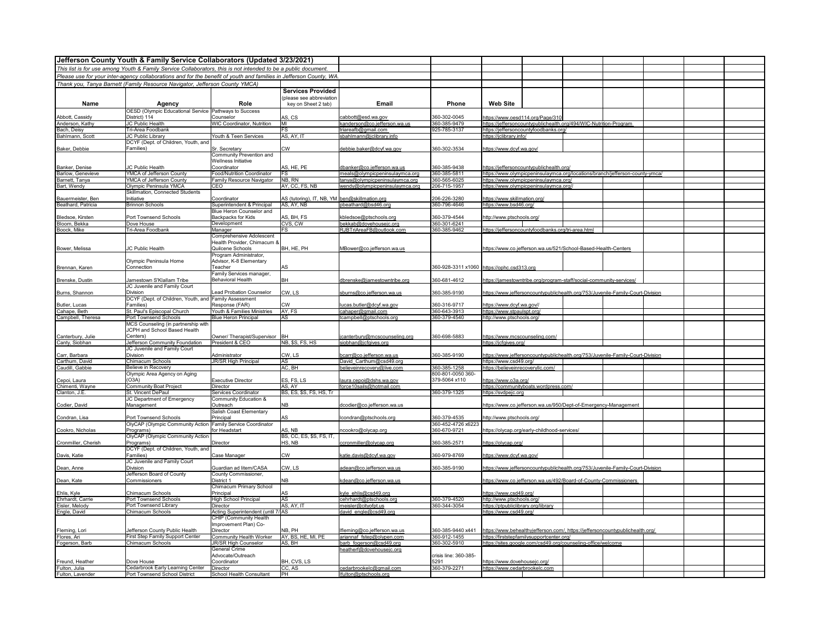| Jefferson County Youth & Family Service Collaborators (Updated 3/23/2021) |                                                                                                                    |                                                 |                                               |                                                    |                              |                                                         |                                                                                |  |  |  |  |
|---------------------------------------------------------------------------|--------------------------------------------------------------------------------------------------------------------|-------------------------------------------------|-----------------------------------------------|----------------------------------------------------|------------------------------|---------------------------------------------------------|--------------------------------------------------------------------------------|--|--|--|--|
|                                                                           | This list is for use among Youth & Family Service Collaborators, this is not intended to be a public document.     |                                                 |                                               |                                                    |                              |                                                         |                                                                                |  |  |  |  |
|                                                                           | Please use for your inter-agency collaborations and for the benefit of youth and families in Jefferson County, WA. |                                                 |                                               |                                                    |                              |                                                         |                                                                                |  |  |  |  |
|                                                                           | Thank you, Tanya Barnett (Family Resource Navigator, Jefferson County YMCA)                                        |                                                 |                                               |                                                    |                              |                                                         |                                                                                |  |  |  |  |
|                                                                           |                                                                                                                    |                                                 | <b>Services Provided</b>                      |                                                    |                              |                                                         |                                                                                |  |  |  |  |
|                                                                           |                                                                                                                    |                                                 | (please see abbreviation                      |                                                    |                              |                                                         |                                                                                |  |  |  |  |
| Name                                                                      | Agency                                                                                                             | Role                                            | key on Sheet 2 tab)                           | Email                                              | Phone                        | <b>Web Site</b>                                         |                                                                                |  |  |  |  |
|                                                                           | OESD (Olympic Educational Service Pathways to Success                                                              |                                                 |                                               |                                                    |                              |                                                         |                                                                                |  |  |  |  |
| Abbott, Cassidy                                                           | District) 114                                                                                                      | Counselor                                       | AS, CS                                        | cabbott@esd.wa.gov                                 | 60-302-0045                  | https://www.oesd114.org/Page/310                        |                                                                                |  |  |  |  |
| Anderson, Kathy                                                           | JC Public Health                                                                                                   | <b>WIC Coordinator, Nutrition</b>               | MI                                            | kanderson@co.jefferson.wa.us                       | 360-385-9479                 |                                                         | https://jeffersoncountypublichealth.org/494/WIC-Nutrition-Program              |  |  |  |  |
| Bach, Deisy                                                               | Tri-Area Foodbank                                                                                                  |                                                 | FS                                            | triareafb@gmail.com                                | 925-785-3137                 | https://jeffersoncountyfoodbanks.org/                   |                                                                                |  |  |  |  |
| Bahlmann, Scott                                                           | JC Public Library<br>DCYF (Dept. of Children, Youth, and                                                           | Youth & Teen Services                           | AS, AY, IT                                    | sbahlmann@jclibrary.info                           |                              | https://jclibrary.info/                                 |                                                                                |  |  |  |  |
| Baker, Debbie                                                             | Families)                                                                                                          | Sr. Secretary                                   | <b>CW</b>                                     | debbie.baker@dcyf.wa.gov                           | 360-302-3534                 | https://www.dcyf.wa.gov/                                |                                                                                |  |  |  |  |
|                                                                           |                                                                                                                    | Community Prevention and                        |                                               |                                                    |                              |                                                         |                                                                                |  |  |  |  |
|                                                                           |                                                                                                                    | Wellness Initiative                             |                                               |                                                    |                              |                                                         |                                                                                |  |  |  |  |
| Banker, Denise                                                            | JC Public Health                                                                                                   | Coordinator                                     | AS, HE, PE                                    | dbanker@co.jefferson.wa.us                         | 360-385-9438                 | https://jeffersoncountypublichealth.org/                |                                                                                |  |  |  |  |
| Barlow, Genevieve                                                         | YMCA of Jefferson County                                                                                           | Food/Nutrition Coordinator                      | <b>FS</b>                                     | meals@olympicpeninsulaymca.org                     | 360-385-5811                 |                                                         | https://www.olympicpeninsulaymca.org/locations/branch/jefferson-county-ymca/   |  |  |  |  |
| Barnett, Tanya                                                            | YMCA of Jefferson County                                                                                           | Family Resource Navigator                       | NB, RN                                        | tanya@olympicpeninsulaymca.org                     | 360-565-6025                 | https://www.olympicpeninsulaymca.org/                   |                                                                                |  |  |  |  |
| Bart, Wendy                                                               | Olympic Peninsula YMCA                                                                                             | CEO                                             | AY, CC, FS, NB                                | wendv@olvmpicpeninsulavmca.org                     | 206-715-1957                 | https://www.olympicpeninsulaymca.org//                  |                                                                                |  |  |  |  |
| Bauermeister, Ben                                                         | Skillmation, Connected Students<br>Initiative                                                                      | Coordinator                                     | AS (tutoring), IT, NB, YM ben@skillmation.org |                                                    | 206-226-3280                 |                                                         |                                                                                |  |  |  |  |
| Beathard, Patricia                                                        | <b>Brinnon Schools</b>                                                                                             | Superintendent & Principal                      | AS, AY, NB                                    | obeathard@bsd46.org                                | 360-796-4646                 | https://www.skillmation.org/<br>https://www.bsd46.org/  |                                                                                |  |  |  |  |
|                                                                           |                                                                                                                    | Blue Heron Counselor and                        |                                               |                                                    |                              |                                                         |                                                                                |  |  |  |  |
| Bledsoe, Kirsten                                                          | Port Townsend Schools                                                                                              | Backpacks for Kids                              | AS, BH, FS                                    | bledsoe@ptschools.org                              | 360-379-4544                 | http://www.ptschools.org/                               |                                                                                |  |  |  |  |
| Bloom, Bekka                                                              | Dove House                                                                                                         | Development                                     | CVS, CW                                       | bekkab@dovehousejc.org                             | 360-301-6241                 |                                                         |                                                                                |  |  |  |  |
| Boock, Mike                                                               | Tri-Area Foodbank                                                                                                  | Manager                                         | <b>FS</b>                                     | RJBTriAreaFB@outlook.com                           | 360-385-9462                 |                                                         | https://jeffersoncountyfoodbanks.org/tri-area.html                             |  |  |  |  |
|                                                                           |                                                                                                                    | Comprehensive Adolescent                        |                                               |                                                    |                              |                                                         |                                                                                |  |  |  |  |
|                                                                           | JC Public Health                                                                                                   | Health Provider, Chimacum &<br>Quilcene Schools | BH, HE, PH                                    | MBower@co.jefferson.wa.us                          |                              |                                                         | https://www.co.jefferson.wa.us/521/School-Based-Health-Centers                 |  |  |  |  |
| Bower, Melissa                                                            |                                                                                                                    | Program Administrator,                          |                                               |                                                    |                              |                                                         |                                                                                |  |  |  |  |
|                                                                           | Olympic Peninsula Home                                                                                             | Advisor, K-8 Elementary                         |                                               |                                                    |                              |                                                         |                                                                                |  |  |  |  |
| Brennan, Karen                                                            | Connection                                                                                                         | Teacher                                         | AS                                            |                                                    |                              | 360-928-3311 x1060 https://ophc.csd313.org              |                                                                                |  |  |  |  |
|                                                                           |                                                                                                                    | Family Services manager,                        |                                               |                                                    |                              |                                                         |                                                                                |  |  |  |  |
| Brenske, Dustin                                                           | lamestown S'Klallam Tribe                                                                                          | Behavioral Health                               | <b>BH</b>                                     | dbrenske@jamestowntribe.org                        | 360-681-4612                 |                                                         | https://jamestowntribe.org/program-staff/social-community-services/            |  |  |  |  |
|                                                                           | JC Juvenile and Family Court                                                                                       |                                                 |                                               |                                                    |                              |                                                         |                                                                                |  |  |  |  |
| Burns, Shannon                                                            | Division                                                                                                           | ead Probation Counselor                         | CW, LS                                        | sburns@co.jefferson.wa.us                          | 360-385-9190                 |                                                         | https://www.jeffersoncountypublichealth.org/753/Juvenile-Family-Court-Division |  |  |  |  |
|                                                                           | DCYF (Dept. of Children, Youth, and                                                                                | Family Assessment                               |                                               |                                                    |                              |                                                         |                                                                                |  |  |  |  |
| Butler, Lucas<br>Cahape, Beth                                             | Families)<br>St. Paul's Episcopal Church                                                                           | Response (FAR)<br>Youth & Families Ministries   | <b>CW</b><br>AY, FS                           | ucas.butler@dcyf.wa.gov<br>cahaper@gmail.com       | 360-316-9717<br>360-643-3913 | https://www.dcyf.wa.gov//<br>https://www.stpaulspt.org/ |                                                                                |  |  |  |  |
| Campbell, Theresa                                                         | Port Townsend Schools                                                                                              | Blue Heron Principal                            | AS                                            | tcampbell@ptschools.org                            | 360-379-4540                 | http://www.ptschools.org/                               |                                                                                |  |  |  |  |
|                                                                           | MCS Counseling (in partnership with                                                                                |                                                 |                                               |                                                    |                              |                                                         |                                                                                |  |  |  |  |
|                                                                           | JCPH and School Based Health                                                                                       |                                                 |                                               |                                                    |                              |                                                         |                                                                                |  |  |  |  |
| Canterbury, Julie                                                         | Centers)                                                                                                           | Owner/ Therapist/Supervisor                     | <b>RH</b>                                     | canterbury@mcscounseling.org                       | 360-698-5883                 | https://www.mcscounseling.com/                          |                                                                                |  |  |  |  |
| Canty, Siobhan                                                            | Jefferson Community Foundation                                                                                     | President & CEO                                 | <b>NB, \$S, FS, HS</b>                        | siobhan@jcfgives.org                               |                              | https://jcfgives.org/                                   |                                                                                |  |  |  |  |
|                                                                           | JC Juvenile and Family Court                                                                                       |                                                 |                                               |                                                    |                              |                                                         |                                                                                |  |  |  |  |
| Carr, Barbara<br>Carthum, David                                           | Division<br>Chimacum Schools                                                                                       | Administrator<br>JR/SR High Principal           | CW, LS<br>AS                                  | carr@co.jefferson.wa.us<br>David Carthum@csd49.org | 360-385-9190                 | https://www.csd49.org/                                  | https://www.jeffersoncountypublichealth.org/753/Juvenile-Family-Court-Division |  |  |  |  |
| Caudill, Gabbie                                                           | Believe in Recovery                                                                                                |                                                 | AC, BH                                        | believeinrecovery@live.com                         | 360-385-1258                 | https://believeinrecovervllc.com/                       |                                                                                |  |  |  |  |
|                                                                           | Olympic Area Agency on Aging                                                                                       |                                                 |                                               |                                                    | 800-801-0050 360-            |                                                         |                                                                                |  |  |  |  |
| Cepoi, Laura                                                              | (O3A)                                                                                                              | <b>Executive Director</b>                       | ES, FS, LS                                    | laura.cepoi@dshs.wa.gov                            | 379-5064 x110                | https://www.o3a.org/                                    |                                                                                |  |  |  |  |
| Chimenti, Wayne                                                           | <b>Community Boat Project</b>                                                                                      | Director                                        | AS. AY                                        | force10sails@hotmail.com                           |                              | https://communityboats.wordpress.com/                   |                                                                                |  |  |  |  |
| Clanton, J.E.                                                             | St. Vincent DePaul                                                                                                 | Services Coordinator                            | BS, ES, \$S, FS, HS, Tr                       |                                                    | 360-379-1325                 | https://svdpejc.org                                     |                                                                                |  |  |  |  |
|                                                                           | JC Department of Emergency                                                                                         | Community Education &                           |                                               |                                                    |                              |                                                         |                                                                                |  |  |  |  |
| Codier, David                                                             | Management                                                                                                         | Outreach<br>Salish Coast Elementary             | NB                                            | dcodier@co.jefferson.wa.us                         |                              |                                                         | https://www.co.jefferson.wa.us/950/Dept-of-Emergency-Management                |  |  |  |  |
| Condran, Lisa                                                             | Port Townsend Schools                                                                                              | Principal                                       | AS                                            | condran@ptschools.org                              | 860-379-4535                 | http://www.ptschools.org/                               |                                                                                |  |  |  |  |
|                                                                           | OlyCAP (Olympic Community Action                                                                                   | <b>Family Service Coordinator</b>               |                                               |                                                    | 360-452-4726 x6223           |                                                         |                                                                                |  |  |  |  |
| Cookro, Nicholas                                                          | Programs)                                                                                                          | for Headstart                                   | AS, NB                                        | cookro@olycap.org                                  | 360-670-9721                 |                                                         | https://olycap.org/early-childhood-services/                                   |  |  |  |  |
|                                                                           | OlyCAP (Olympic Community Action                                                                                   |                                                 | BS, CC, ES, \$S, FS, IT,                      |                                                    |                              |                                                         |                                                                                |  |  |  |  |
| Cronmiller, Cherish                                                       | Programs)                                                                                                          | Director                                        | HS, NB                                        | ccronmiller@olycap.org                             | 360-385-2571                 | https://olycap.org/                                     |                                                                                |  |  |  |  |
|                                                                           | DCYF (Dept. of Children, Youth, and                                                                                |                                                 |                                               |                                                    |                              |                                                         |                                                                                |  |  |  |  |
| Davis, Katie                                                              | Families)<br>JC Juvenile and Family Court                                                                          | Case Manager                                    | <b>CW</b>                                     | katie.davis@dcyf.wa.gov                            | 360-979-8769                 | https://www.dcyf.wa.gov/                                |                                                                                |  |  |  |  |
| Dean, Anne                                                                | Division                                                                                                           | Guardian ad litem/CASA                          | CW, LS                                        | dean@co.jefferson.wa.us                            | 360-385-9190                 |                                                         | https://www.jeffersoncountypublichealth.org/753/Juvenile-Family-Court-Division |  |  |  |  |
|                                                                           | Jefferson Board of County                                                                                          | County Commissioner,                            |                                               |                                                    |                              |                                                         |                                                                                |  |  |  |  |
| Dean, Kate                                                                | Commissioners                                                                                                      | District 1                                      | <b>NB</b>                                     | kdean@co.jefferson.wa.us                           |                              |                                                         | https://www.co.jefferson.wa.us/492/Board-of-County-Commissioners               |  |  |  |  |
|                                                                           |                                                                                                                    | Chimacum Primary School                         |                                               |                                                    |                              |                                                         |                                                                                |  |  |  |  |
| Ehlis, Kyle                                                               | Chimacum Schools                                                                                                   | Principal                                       | AS                                            | kvle ehlis@csd49.org                               |                              | https://www.csd49.ora/                                  |                                                                                |  |  |  |  |
| Ehrhardt, Carrie                                                          | Port Townsend Schools                                                                                              | <b>High School Principal</b>                    | AS                                            | cehrhardt@ptschools.org                            | 360-379-4520                 | http://www.ptschools.org/                               |                                                                                |  |  |  |  |
| Eisler, Melody                                                            | Port Townsend Library                                                                                              | Director                                        | AS, AY, IT                                    | meisler@cityofpt.us                                | 360-344-3054                 | https://ptpubliclibrary.org/library                     |                                                                                |  |  |  |  |
| Engle, David                                                              | Chimacum Schools                                                                                                   | Acting Superintendent (until 7/ AS              |                                               | david_engle@csd49.org                              |                              | https://www.csd49.org/                                  |                                                                                |  |  |  |  |
|                                                                           |                                                                                                                    | CHIP (Community Health<br>Improvement Plan) Co- |                                               |                                                    |                              |                                                         |                                                                                |  |  |  |  |
| Fleming, Lori                                                             | lefferson County Public Health                                                                                     | Director                                        | NB, PH                                        | fleming@co.jefferson.wa.us                         | 360-385-9440 x441            |                                                         | https://www.behealthyjefferson.com/, https://jeffersoncountypublichealth.org/  |  |  |  |  |
| Flores, Ari                                                               | First Step Family Support Center                                                                                   | Community Health Worker                         | AY, BS, HE, MI, PE                            | ariannaf fstep@olypen.com                          | 360-912-1455                 | https://firststepfamilysupportcenter.org/               |                                                                                |  |  |  |  |
| Fogerson, Barb                                                            | Chimacum Schools                                                                                                   | JR/SR High Counselor                            | AS, BH                                        | barb fogerson@csd49.org                            | 360-302-5910                 |                                                         | https://sites.google.com/csd49.org/counseling-office/welcome                   |  |  |  |  |
|                                                                           |                                                                                                                    | General Crime                                   |                                               | heatherf@dovehousejc.org                           |                              |                                                         |                                                                                |  |  |  |  |
|                                                                           |                                                                                                                    | Advocate/Outreach                               |                                               |                                                    | crisis line: 360-385-        |                                                         |                                                                                |  |  |  |  |
| Freund, Heather<br>Fulton, Julia                                          | Dove House<br>Cedarbrook Early Learning Center   Director                                                          | Coordinator                                     | BH, CVS, LS<br>CC, AS                         | cedarbrookelc@gmail.com                            | 5291<br>360-379-2271         | https://www.dovehousejc.org/                            |                                                                                |  |  |  |  |
| Fulton, Lavender                                                          | Port Townsend School District                                                                                      | School Health Consultant                        | <b>IPH</b>                                    | lfulton@ptschools.org                              |                              | https://www.cedarbrookelc.com                           |                                                                                |  |  |  |  |
|                                                                           |                                                                                                                    |                                                 |                                               |                                                    |                              |                                                         |                                                                                |  |  |  |  |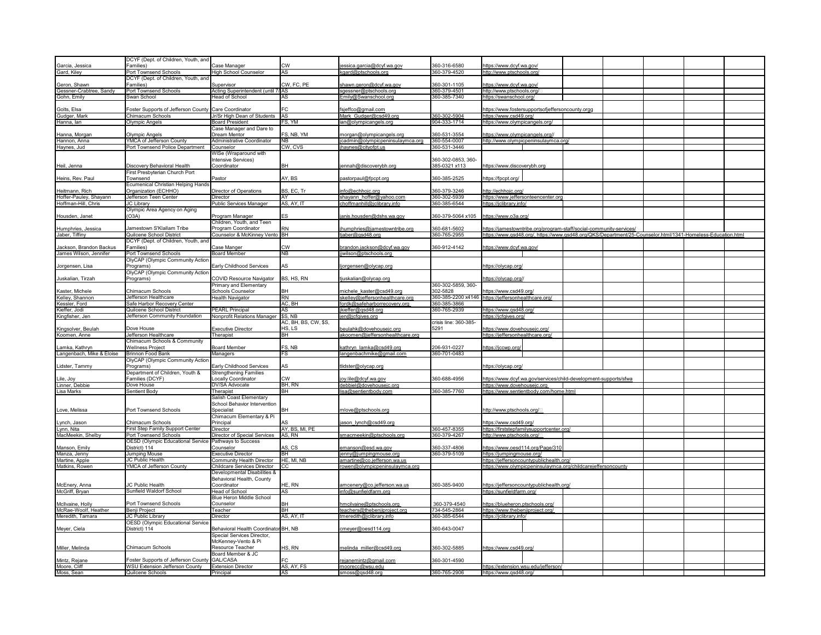|                            | DCYF (Dept. of Children, Youth, and                   |                                        |                      |                                    |                       |                                                                                                             |
|----------------------------|-------------------------------------------------------|----------------------------------------|----------------------|------------------------------------|-----------------------|-------------------------------------------------------------------------------------------------------------|
| Garcia, Jessica            | Families)                                             | Case Manager                           | <b>CW</b>            | essica.garcia@dcyf.wa.gov          | 360-316-6580          | https://www.dcyf.wa.gov/                                                                                    |
|                            | Port Townsend Schools                                 |                                        | AS                   |                                    | 360-379-4520          | http://www.ptschools.org.                                                                                   |
| Gard, Kiley                |                                                       | High School Counselor                  |                      | kgard@ptschools.org                |                       |                                                                                                             |
|                            | DCYF (Dept. of Children, Youth, and                   |                                        |                      |                                    |                       |                                                                                                             |
| Geron, Shawn               | Families)                                             | Supervisor                             | CW, FC, PE           | shawn.geron@dcyf.wa.gov            | 360-301-1105          | https://www.dcyf.wa.gov/                                                                                    |
| Gessner-Crabtree, Sandy    | Port Townsend Schools                                 | Acting Superintendent (until 7/ AS     |                      | sgessner@ptschools.org             | 360-379-4501          | http://www.ptschools.org/                                                                                   |
| Gohn, Emily                | Swan School                                           | Head of School                         | <b>AS</b>            | Emily@Swanschool.org               | 360-385-7340          | https://swanschool.org/                                                                                     |
|                            |                                                       |                                        |                      |                                    |                       |                                                                                                             |
|                            |                                                       |                                        | FC.                  |                                    |                       |                                                                                                             |
| Golts, Elsa                | Foster Supports of Jefferson County                   | Care Coordinator                       |                      | sjeffco@gmail.com                  |                       | https://www.fostersupportsofjeffersoncounty.orgg                                                            |
| Gudger, Mark               | Chimacum Schools                                      | Jr/Sr High Dean of Students            | AS                   | Mark_Gudger@csd49.org              | 360-302-5904          | https://www.csd49.org/                                                                                      |
| Hanna, lan                 | Olympic Angels                                        | <b>Board President</b>                 | FS, YM               | ian@olympicangels.org              | 904-333-1714          | https://www.olympicangels.org/                                                                              |
|                            |                                                       | Case Manager and Dare to               |                      |                                    |                       |                                                                                                             |
| Hanna, Morgan              | Olympic Angels                                        | Dream Mentor                           | FS, NB, YM           | morgan@olympicangels.org           | 360-531-3554          | https://www.olympicangels.org//                                                                             |
| Hannon, Anna               | YMCA of Jefferson County                              | Administrative Coordinator             | <b>NR</b>            | jcadmin@olympicpeninsulaymca.org   | 360-554-0007          | http://www.olympicpeninsulaymca.org/                                                                        |
| Haynes, Jud                | Port Townsend Police Department                       | Counselor                              | CW, CVS              | jhaynes@cityofpt.us                | 360-531-3446          |                                                                                                             |
|                            |                                                       |                                        |                      |                                    |                       |                                                                                                             |
|                            |                                                       | WISe (Wraparound with                  |                      |                                    |                       |                                                                                                             |
|                            |                                                       | Intensive Services)                    |                      |                                    | 360-302-0853, 360-    |                                                                                                             |
| Heil, Jenna                | Discovery Behavioral Health                           | Coordinator                            | BH                   | ennah@discoverybh.org              | 385-0321 x113         | https://www.discoverybh.org                                                                                 |
|                            | First Presbyterian Church Port                        |                                        |                      |                                    |                       |                                                                                                             |
| Heins, Rev. Paul           | Townsend                                              | Pastor                                 | AY, BS               | pastorpaul@fpcpt.org               | 360-385-2525          | https://fpcpt.org/                                                                                          |
|                            | <b>Ecumenical Christian Helping Hands</b>             |                                        |                      |                                    |                       |                                                                                                             |
| Heitmann, Rich             | Organization (ECHHO)                                  | Director of Operations                 | BS, EC, Tr           | nfo@echhojc.org                    | 360-379-3246          | http://echhojc.org/                                                                                         |
|                            |                                                       |                                        | AY                   |                                    |                       |                                                                                                             |
| Hoffer-Pauley, Shayann     | Jefferson Teen Center                                 | Director                               |                      | shayann_hoffer@yahoo.com           | 360-302-5939          | https://www.jeffersonteencenter.org                                                                         |
| Hoffman-Hill, Chris        | JC Library                                            | Public Services Manager                | AS, AY, IT           | choffmanhill@jclibrary.info        | 360-385-6544          | https://jclibrary.info/                                                                                     |
|                            | Olympic Area Agency on Aging                          |                                        |                      |                                    |                       |                                                                                                             |
| Housden, Janet             | (O3A)                                                 | Program Manager                        | <b>FS</b>            | anis.housden@dshs.wa.gov           | 360-379-5064 x105     | https://www.o3a.org/                                                                                        |
|                            |                                                       | Children, Youth, and Teen              |                      |                                    |                       |                                                                                                             |
| Humphries, Jessica         | Jamestown S'Klallam Tribe                             | Program Coordinator                    | <b>RN</b>            | humphries@jamestowntribe.org       | 360-681-5602          | https://jamestowntribe.org/program-staff/social-community-services/                                         |
| Jaber, Tiffiny             | Quilcene School District                              | Counselor & McKinney Vento BH          |                      |                                    | 360-765-2955          |                                                                                                             |
|                            |                                                       |                                        |                      | tjaber@gsd48.org                   |                       | https://www.qsd48.org/, https://www.qsd48.org/QKS/Department/25-Counselor.html/1341-Homeless-Education.html |
|                            | DCYF (Dept. of Children, Youth, and                   |                                        |                      |                                    |                       |                                                                                                             |
| Jackson, Brandon Backus    | Families)                                             | Case Manger                            | <b>CW</b>            | brandon.jackson@dcyf.wa.gov        | 360-912-4142          | https://www.dcyf.wa.gov/                                                                                    |
| James Wilson, Jennifer     | Port Townsend Schools                                 | <b>Board Member</b>                    | <b>NB</b>            | jjwilson@ptschools.org             |                       |                                                                                                             |
|                            | OlyCAP (Olympic Community Action                      |                                        |                      |                                    |                       |                                                                                                             |
| Jorgensen, Lisa            | Programs)                                             | Early Childhood Services               | AS                   | jorgensen@olycap.org               |                       | https://olycap.org/                                                                                         |
|                            |                                                       |                                        |                      |                                    |                       |                                                                                                             |
|                            | OlyCAP (Olympic Community Action                      |                                        |                      |                                    |                       |                                                                                                             |
| Juskalian, Tirzah          | Programs)                                             | COVID Resource Navigator               | BS, HS, RN           | juskalian@olycap.org               |                       | //ttps://olycap.org                                                                                         |
|                            |                                                       | Primary and Elementary                 |                      |                                    | 360-302-5859, 360-    |                                                                                                             |
| Kaster, Michele            | Chimacum Schools                                      | Schools Counselor                      | <b>RH</b>            | michele kaster@csd49.org           | 302-5828              | https://www.csd49.org/                                                                                      |
| Kelley, Shannon            | Jefferson Healthcare                                  | <b>Health Navigator</b>                | <b>RN</b>            | skelley@jeffersonhealthcare.org    | 360-385-2200 x4146    | https://jeffersonhealthcare.org/                                                                            |
| Kessler, Ford              | Safe Harbor Recovery Center                           |                                        | AC, BH               | fordk@safeharborrecovery.org       | 360-385-3866          |                                                                                                             |
| Kieffer, Jodi              | Quilcene School District                              | <b>PEARL Principal</b>                 | <b>AS</b>            | kieffer@gsd48.org                  | 360-765-2939          | https://www.gsd48.org/                                                                                      |
|                            |                                                       |                                        |                      |                                    |                       |                                                                                                             |
| Kingfisher, Jen            | Jefferson Community Foundation                        | Nonprofit Relations Manager   \$S, NB  |                      | jen@jcfgives.org                   |                       | https://jcfgives.org/                                                                                       |
|                            |                                                       |                                        | AC, BH, BS, CW, \$S, |                                    | crisis line: 360-385- |                                                                                                             |
| Kingsolver, Beulah         | Dove House                                            | <b>Executive Director</b>              | HS, LS               | eulahk@dovehousejc.org             | 5291                  | https://www.dovehousejc.org/                                                                                |
| Koomen, Anne               | Jefferson Healthcare                                  | Therapist                              | BH                   | akoomen@jeffersonhealthcare.org    |                       | https://jeffersonhealthcare.org/                                                                            |
|                            | Chimacum Schools & Community                          |                                        |                      |                                    |                       |                                                                                                             |
| Lamka, Kathryn             | Wellness Project                                      | <b>Board Member</b>                    | FS, NB               | cathryn lamka@csd49.org            | 206-931-0227          | https://jccwp.org                                                                                           |
| angenbach, Mike & Eloise   |                                                       |                                        | FS                   |                                    | 360-701-0483          |                                                                                                             |
|                            | Brinnon Food Bank                                     | Managers                               |                      | langenbachmike@gmail.com           |                       |                                                                                                             |
|                            | OlyCAP (Olympic Community Actior                      |                                        |                      |                                    |                       |                                                                                                             |
| Lidster, Tammy             | Programs)                                             | Early Childhood Services               | AS                   | tlidster@olycap.org                |                       | https://olycap.org/                                                                                         |
|                            | Department of Children, Youth &                       | <b>Strengthening Families</b>          |                      |                                    |                       |                                                                                                             |
| ile, Joy                   | Families (DCYF)                                       | Locally Coordinator                    | CM                   | ov.lile@dcvf.wa.gov                | 360-688-4956          | https://www.dcyf.wa.gov/services/child-development-supports/sfwa                                            |
| inner, Debbie              | Dove House                                            | DV/SA Advocate                         | BH, RN               | debbiel@dovehousejc.org            |                       | https://www.dovehouseic.org                                                                                 |
| Lisa Marks                 | Sentient Body                                         |                                        | BH                   | lisa@sentientbody.com              | 360-385-7760          | https://www.sentientbody.com/home.html                                                                      |
|                            |                                                       | Therapist                              |                      |                                    |                       |                                                                                                             |
|                            |                                                       | Salish Coast Elementary                |                      |                                    |                       |                                                                                                             |
|                            |                                                       | School Behavior Intervention           |                      |                                    |                       |                                                                                                             |
| Love, Melissa              | Port Townsend Schools                                 | Specialist                             | <b>RH</b>            | mlove@ptschools.org                |                       | http://www.ptschools.org/                                                                                   |
|                            |                                                       | Chimacum Elementary & Pi               |                      |                                    |                       |                                                                                                             |
| Lynch, Jason               | Chimacum Schools                                      | Principal                              | AS                   | ason_lynch@csd49.org               |                       | https://www.csd49.org/                                                                                      |
| Lynn, Nita                 | First Step Family Support Center                      | Director                               | AY, BS, MI, PE       |                                    | 360-457-8355          | https://firststepfamilysupportcenter.org/                                                                   |
| MacMeekin, Shelby          | Port Townsend Schools                                 | Director of Special Services           | AS, RN               | smacmeekin@ptschools.org           | 360-379-4267          | http://www.ptschools.org/                                                                                   |
|                            | OESD (Olympic Educational Service Pathways to Success |                                        |                      |                                    |                       |                                                                                                             |
|                            |                                                       |                                        |                      |                                    |                       |                                                                                                             |
| Manson, Emily              |                                                       |                                        |                      |                                    |                       |                                                                                                             |
|                            | District) 114                                         | Counselor                              | AS, CS               | emanson@esd.wa.gov                 | 360-337-4806          | https://www.oesd114.org/Page/310                                                                            |
| Manza, Jenny               | Jumping Mouse                                         | <b>Executive Director</b>              | <b>BH</b>            | jenny@jumpingmouse.org             | 360-379-5109          | https://jumpingmouse.org/                                                                                   |
|                            | JC Public Health                                      | Community Health Director              | <b>IE. MI. NB</b>    | amartine@co.iefferson.wa.us        |                       | https://jeffersoncountypublichealth.org/                                                                    |
| Martine, Apple             |                                                       |                                        |                      |                                    |                       |                                                                                                             |
| Matkins, Rowen             | YMCA of Jefferson County                              | Childcare Services Director            |                      | rowen@olympicpeninsulaymca.org     |                       | https://www.olympicpeninsulaymca.org/childcarejeffersoncounty                                               |
|                            |                                                       | Developmental Disabilities &           |                      |                                    |                       |                                                                                                             |
|                            |                                                       | Behavioral Health, County              |                      |                                    |                       |                                                                                                             |
| McEnery, Anna              | <b>IC Public Health</b>                               | Coordinator                            | HE, RN               | amcenery@co.jefferson.wa.us        | 360-385-9400          | https://jeffersoncountypublichealth.org/                                                                    |
| McGriff, Bryan             | Sunfield Waldorf School                               | <b>Head of School</b>                  | AS                   | info@sunfieldfarm.org              |                       | https://sunfieldfarm.org/                                                                                   |
|                            |                                                       | Blue Heron Middle School               |                      |                                    |                       |                                                                                                             |
| McIlvaine, Holly           | Port Townsend Schools                                 | Counselor                              | <b>BH</b>            |                                    | 360-379-4540          |                                                                                                             |
|                            |                                                       |                                        |                      | nmcilvaine@ptschools.org           |                       | https://blueheron.ptschools.org/                                                                            |
| McRae-Woolf, Heather       | Benji Project                                         | Teacher                                | <b>BH</b>            | teachers@thebenjiproject.org       | 734-545-2864          | https://www.thebenjiproject.org/                                                                            |
| Meredith, Tamara           | JC Public Library                                     | Director                               | AS, AY, IT           | tmeredith@jclibrary.info           | 360-385-6544          | https://jclibrary.info/                                                                                     |
|                            | <b>OESD (Olympic Educational Service</b>              |                                        |                      |                                    |                       |                                                                                                             |
| Meyer, Ciela               | District) 114                                         | Behavioral Health Coordinato           | IBH, NB              | cmeyer@oesd114.org                 | 360-643-0047          |                                                                                                             |
|                            |                                                       | Special Services Director,             |                      |                                    |                       |                                                                                                             |
|                            |                                                       | McKenney-Vento & Pi                    |                      |                                    |                       |                                                                                                             |
| Miller, Melinda            | Chimacum Schools                                      | Resource Teacher                       | HS. RN               |                                    |                       |                                                                                                             |
|                            |                                                       |                                        |                      | melinda miller@csd49.org           | 360-302-5885          | https://www.csd49.org/                                                                                      |
|                            |                                                       | Board Member & JC                      |                      |                                    |                       |                                                                                                             |
| Mintz, Rejane              | oster Supports of Jefferson County                    | GAL/CASA                               | FC                   | rejanemintz@gmail.com              | 360-301-4590          |                                                                                                             |
| Moore, Cliff<br>Moss, Sean | WSU Extension Jefferson County<br>Quilcene Schools    | <b>Extension Director</b><br>Principal | AS, AY, FS<br>AS     | moorecc@wsu.edu<br>smoss@gsd48.org | 360-765-2906          | https://extension.wsu.edu/jefferson/<br>https://www.gsd48.org/                                              |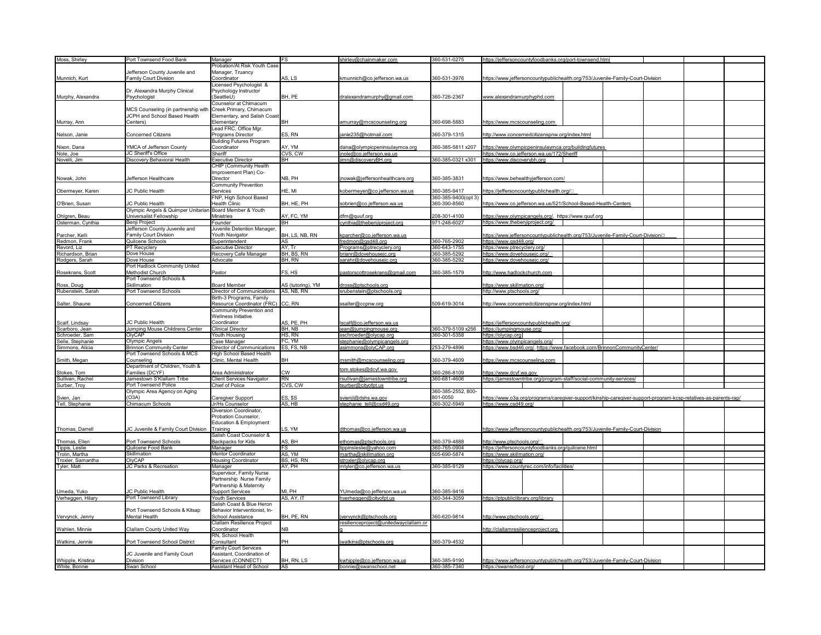| Moss, Shirley     | Port Townsend Food Bank                                 |                                   | <b>FS</b>         |                                       | 360-531-0275        |                                                                                                                 |  |
|-------------------|---------------------------------------------------------|-----------------------------------|-------------------|---------------------------------------|---------------------|-----------------------------------------------------------------------------------------------------------------|--|
|                   |                                                         | Manager                           |                   | shirley@chainmaker.com                |                     | https://jeffersoncountyfoodbanks.org/port-townsend.html                                                         |  |
|                   |                                                         | Probation/At Risk Youth Case      |                   |                                       |                     |                                                                                                                 |  |
|                   | lefferson County Juvenile and                           | Manager, Truancy                  |                   |                                       |                     |                                                                                                                 |  |
| Munnich, Kurt     | Family Court Division                                   | Coordinator                       | AS, LS            | kmunnich@co.jefferson.wa.us           | 360-531-3976        | https://www.jeffersoncountypublichealth.org/753/Juvenile-Family-Court-Division                                  |  |
|                   |                                                         | Licensed Psychologist &           |                   |                                       |                     |                                                                                                                 |  |
|                   | Dr. Alexandra Murphy Clinical                           | Psychology Instructor             |                   |                                       |                     |                                                                                                                 |  |
|                   |                                                         |                                   |                   |                                       |                     |                                                                                                                 |  |
| Murphy, Alexandra | Psychologist                                            | (SeattleU)                        | BH, PE            | dralexandramurphy@gmail.com           | 360-726-2367        | www.alexandramurphyphd.com                                                                                      |  |
|                   |                                                         | Counselor at Chimacum             |                   |                                       |                     |                                                                                                                 |  |
|                   | MCS Counseling (in partnership with                     | Creek Primary, Chimacum           |                   |                                       |                     |                                                                                                                 |  |
|                   |                                                         |                                   |                   |                                       |                     |                                                                                                                 |  |
|                   | JCPH and School Based Health                            | Elementary, and Salish Coast      |                   |                                       |                     |                                                                                                                 |  |
| Murray, Ann       | Centers)                                                | Elementary                        | BH                | amurray@mcscounseling.org             | 360-698-5883        | https://www.mcscounseling.com                                                                                   |  |
|                   |                                                         | Lead FRC, Office Mgr              |                   |                                       |                     |                                                                                                                 |  |
|                   | Concerned Citizens                                      | Programs Director                 | ES, RN            | janie235@hotmail.com                  | 360-379-1315        |                                                                                                                 |  |
| Nelson, Janie     |                                                         |                                   |                   |                                       |                     | http://www.concernedcitizenspnw.org/index.html                                                                  |  |
|                   |                                                         | <b>Building Futures Program</b>   |                   |                                       |                     |                                                                                                                 |  |
| Nixon, Dana       | /MCA of Jefferson County                                | Coordinator                       | AY, YM            | dana@olympicpeninsulaymca.org         | 360-385-5811 x207   | https://www.olympicpeninsulaymca.org/buildingfutures                                                            |  |
| Nole, Joe         | JC Sheriff's Office                                     | Sheriff                           | CVS, CW           | inole@co.jefferson.wa.us              |                     | https://www.co.jefferson.wa.us/172/Sheriff                                                                      |  |
|                   |                                                         |                                   | <b>BH</b>         |                                       | 360-385-0321 x301   |                                                                                                                 |  |
| Novelli, Jim      | Discovery Behavioral Health                             | <b>Executive Director</b>         |                   | jimn@discoveryBH.org                  |                     | https://www.discoverybh.org                                                                                     |  |
|                   |                                                         | CHIP (Community Health            |                   |                                       |                     |                                                                                                                 |  |
|                   |                                                         | Improvement Plan) Co-             |                   |                                       |                     |                                                                                                                 |  |
| Nowak, John       | Jefferson Healthcare                                    | Director                          | NB. PH            | nowak@jeffersonhealthcare.org         | 360-385-3831        | https://www.behealthyjefferson.com/                                                                             |  |
|                   |                                                         |                                   |                   |                                       |                     |                                                                                                                 |  |
|                   |                                                         | Community Prevention              |                   |                                       |                     |                                                                                                                 |  |
| Obermeyer, Karen  | JC Public Health                                        | Services                          | HE, MI            | kobermeyer@co.jefferson.wa.us         | 360-385-9417        | https://jeffersoncountypublichealth.org/⊡                                                                       |  |
|                   |                                                         | FNP, High School Based            |                   |                                       | 360-385-9400(opt 3) |                                                                                                                 |  |
|                   |                                                         |                                   |                   |                                       |                     |                                                                                                                 |  |
| O'Brien, Susan    | JC Public Health                                        | <b>Health Clinic</b>              | BH, HE, PH        | sobrien@co.jefferson.wa.us            | 360-390-8560        | https://www.co.jefferson.wa.us/521/School-Based-Health-Centers                                                  |  |
|                   | Olympic Angels & Quimper Unitarian Board Member & Youth |                                   |                   |                                       |                     |                                                                                                                 |  |
| Ohlgren, Beau     | Universalist Fellowship                                 | Ministries                        | AY, FC, YM        | dfm@quuf.org                          | 208-301-4100        | https://www.olympicangels.org/, https://www.quuf.org                                                            |  |
| Osterman, Cynthia | Benji Project                                           | Founder                           | <b>BH</b>         | cynthia@thebenjiproject.org           | 971-248-6027        | https://www.thebenjiproject.org/                                                                                |  |
|                   |                                                         |                                   |                   |                                       |                     |                                                                                                                 |  |
|                   | Jefferson County Juvenile and                           | Juvenile Detention Manager,       |                   |                                       |                     |                                                                                                                 |  |
| Parcher, Kelli    | Family Court Division                                   | Youth Navigator                   | BH, LS, NB, RN    | kparcher@co.jefferson.wa.us           |                     | https://www.jeffersoncountypublichealth.org/753/Juvenile-Family-Court-DivisionD                                 |  |
| Redmon, Frank     | Quilcene Schools                                        | Superintendent                    | AS                | fredmon@gsd48.org                     | 360-765-2902        | https://www.qsd48.org/                                                                                          |  |
| Revord, Liz       | PT Recyclery                                            | <b>Executive Director</b>         | AY. Tr            | Programs@ptrecyclery.org              | 360-643-1755        | https://www.ptrecyclery.org/                                                                                    |  |
|                   |                                                         |                                   |                   |                                       |                     |                                                                                                                 |  |
| Richardson, Brian | Dove House                                              | Recovery Cafe Manager             | BH, BS, RN        | brianr@dovehousejc.org                | 360-385-5292        | https://www.dovehousejc.org/                                                                                    |  |
| Rodgers, Sarah    | Dove House                                              | Advocate                          | BH, RN            | sarahr@dovehousejc.org                | 360-385-5292        | https://www.dovehousejc.org/                                                                                    |  |
|                   | Port Hadlock Community United                           |                                   |                   |                                       |                     |                                                                                                                 |  |
|                   |                                                         |                                   |                   |                                       |                     |                                                                                                                 |  |
| Rosekrans, Scott  | Methodist Church                                        | Pastor                            | FS, HS            | pastorscottrosekrans@gmail.com        | 360-385-1579        | http://www.hadlockchurch.com                                                                                    |  |
|                   | Port Townsend Schools &                                 |                                   |                   |                                       |                     |                                                                                                                 |  |
| Ross, Doug        | Skillmation                                             | <b>Board Member</b>               | AS (tutoring), YM | tross@ptschools.org                   |                     | ttps://www.skillmation.org/                                                                                     |  |
|                   |                                                         |                                   |                   |                                       |                     |                                                                                                                 |  |
| Rubenstein, Sarah | Port Townsend Schools                                   | Director of Communications        | AS, NB, RN        | srubenstein@ptschools.org             |                     | http://www.ptschools.org/                                                                                       |  |
|                   |                                                         | Birth-3 Programs, Family          |                   |                                       |                     |                                                                                                                 |  |
| Salter, Shaune    | Concerned Citizens                                      | Resource Coordinator (FRC) CC, RN |                   | salter@ccpnw.org                      | 509-619-3014        | http://www.concernedcitizenspnw.org/index.html                                                                  |  |
|                   |                                                         |                                   |                   |                                       |                     |                                                                                                                 |  |
|                   |                                                         | Community Prevention and          |                   |                                       |                     |                                                                                                                 |  |
|                   |                                                         | Wellness Initiative               |                   |                                       |                     |                                                                                                                 |  |
| Scalf, Lindsay    | <b>IC Public Health</b>                                 | Coordinator                       | AS, PE, PH        | scalf@co.jefferson.wa.us              |                     | https://jeffersoncountypublichealth.org/                                                                        |  |
|                   | Jumping Mouse Childrens Center                          |                                   | BH, NB            |                                       | 360-379-5109 x256   |                                                                                                                 |  |
| Scarboro, Jean    |                                                         | <b>Clinical Director</b>          |                   | jean@jumpingmouse.org                 |                     | https://jumpingmouse.org/                                                                                       |  |
| Schroeder, Sam    | OlyCAP                                                  | Youth Housing                     | HS, RN            | sschroeder@olycap.org                 | 360-301-5358        | https://olycap.org                                                                                              |  |
| Selle, Stephanie  | Olympic Angels                                          | Case Manager                      | FC, YM            | stephanie@olympicangels.org           |                     | https://www.olympicangels.org/                                                                                  |  |
| Simmons, Alicia   | <b>Brinnon Community Center</b>                         | Director of Communications        | ES, FS, NB        | asimmons@olyCAP.org                   | 253-279-4896        | https://www.bsd46.org/, https://www.facebook.com/BrinnonCommunityCenter/                                        |  |
|                   |                                                         |                                   |                   |                                       |                     |                                                                                                                 |  |
|                   | Port Townsend Schools & MCS                             | High School Based Health          |                   |                                       |                     |                                                                                                                 |  |
| Smith, Megan      | Counseling                                              | Clinic, Mental Health             | BH                | msmith@mcscounseling.org              | 360-379-4609        | https://www.mcscounseling.com                                                                                   |  |
|                   | Department of Children, Youth &                         |                                   |                   |                                       |                     |                                                                                                                 |  |
|                   |                                                         |                                   |                   | tom.stokes@dcyf.wa.gov                |                     |                                                                                                                 |  |
| Stokes, Tom       | Families (DCYF)                                         | Area Administrator                | <b>CW</b>         |                                       | 360-286-8109        | https://www.dcyf.wa.gov                                                                                         |  |
| Sullivan, Rachel  | Jamestown S'Klallam Tribe                               | Client Services Navigator         | <b>RN</b>         | rsullivan@jamestowntribe.org          | 360-681-4606        | https://jamestowntribe.org/program-staff/social-community-services/                                             |  |
| Surber, Troy      | Port Townsend Police                                    | Chief of Police                   | CVS, CW           | surber@cityofpt.us                    |                     |                                                                                                                 |  |
|                   | Olympic Area Agency on Aging                            |                                   |                   |                                       | 360-385-2552, 800-  |                                                                                                                 |  |
|                   |                                                         |                                   |                   |                                       |                     |                                                                                                                 |  |
| Svien, Jan        | (O3A)                                                   | Caregiver Support                 | <b>ES, \$S</b>    | svienjl@dshs.wa.gov                   | 801-0050            | https://www.o3a.org/programs/caregiver-support/kinship-caregiver-support-program-kcsp-relatives-as-parents-rap/ |  |
| Tell, Stephanie   | Chimacum Schools                                        | Jr/Hs Counselor                   | AS, HB            | stephanie tell@csd49.org              | 360-302-5949        | https://www.csd49.org                                                                                           |  |
|                   |                                                         | Diversion Coordinator,            |                   |                                       |                     |                                                                                                                 |  |
|                   |                                                         | Probation Counselor.              |                   |                                       |                     |                                                                                                                 |  |
|                   |                                                         |                                   |                   |                                       |                     |                                                                                                                 |  |
|                   |                                                         | Education & Employment            |                   |                                       |                     |                                                                                                                 |  |
| Thomas, Darrell   | IC Juvenile & Family Court Division                     | Training                          | LS, YM            | dthomas@co.jefferson.wa.us            |                     | https://www.jeffersoncountypublichealth.org/753/Juvenile-Family-Court-Division                                  |  |
|                   |                                                         | Salish Coast Counselor &          |                   |                                       |                     |                                                                                                                 |  |
|                   |                                                         |                                   |                   |                                       |                     |                                                                                                                 |  |
| Thomas, Ellen     | Port Townsend Schools                                   | Backpacks for Kids                | AS, BH            | ethomas@ptschools.org                 | 360-379-4888        | http://www.ptschools.org/⊡                                                                                      |  |
| Tippis, Leslie    | Quilcene Food Bank                                      | Manager                           | FS                | tippinsleslie@yahoo.com               | 360-765-0904        | https://jeffersoncountyfoodbanks.org/quilcene.html                                                              |  |
| Trolin, Martha    | <b>Skillmation</b>                                      | Mentor Coordinator                | AS, YM            | martha@skillmation.org                | 505-690-5874        | https://www.skillmation.org/                                                                                    |  |
| Troxler, Samantha | OlyCAP                                                  | Housing Coordinator               | BS, HS, RN        | stroxler@olycap.org                   |                     | https://olycap.org/                                                                                             |  |
|                   |                                                         |                                   |                   |                                       |                     |                                                                                                                 |  |
| Tyler, Matt       | JC Parks & Recreation                                   | Manager                           | AY, PH            | mtyler@co.jefferson.wa.us             | 360-385-9129        | https://www.countyrec.com/info/facilities/                                                                      |  |
|                   |                                                         | Supervisor, Family Nurse          |                   |                                       |                     |                                                                                                                 |  |
|                   |                                                         | Partnership Nurse Family          |                   |                                       |                     |                                                                                                                 |  |
|                   |                                                         | Partnership & Maternity           |                   |                                       |                     |                                                                                                                 |  |
|                   |                                                         |                                   |                   |                                       |                     |                                                                                                                 |  |
| Umeda, Yuko       | IC Public Health                                        | <b>Support Services</b>           | MI, PH            | /Umeda@co.jefferson.wa.us             | 860-385-9416        |                                                                                                                 |  |
| Verheggen, Hilary | Port Townsend Library                                   | <b>Youth Services</b>             | AS, AY, IT        | hverheggen@cityofpt.us                | 360-344-3059        | https://ptpubliclibrary.org/library                                                                             |  |
|                   |                                                         | Salish Coast & Blue Heron         |                   |                                       |                     |                                                                                                                 |  |
|                   |                                                         |                                   |                   |                                       |                     |                                                                                                                 |  |
|                   | Port Townsend Schools & Kitsap                          | Behavior Interventionist, In-     |                   |                                       |                     |                                                                                                                 |  |
| Vervynck, Jenny   | Mental Health                                           | School Assistance                 | BH, PE, RN        | vervynck@ptschools.org                | 360-620-9814        | http://www.ptschools.org/L                                                                                      |  |
|                   |                                                         | Clallam Resilience Project        |                   | resilienceproject@unitedwayclallam.or |                     |                                                                                                                 |  |
|                   |                                                         |                                   |                   |                                       |                     |                                                                                                                 |  |
| Wahlen, Minnie    | Clallam County United Way                               | Coordinator                       | <b>NB</b>         |                                       |                     | http://clallamresilienceproject.org                                                                             |  |
|                   |                                                         | RN, School Health                 |                   |                                       |                     |                                                                                                                 |  |
| Watkins, Jennie   | Port Townsend School District                           | Consultant                        | PH                | watkins@ptschools.org                 | 360-379-4532        |                                                                                                                 |  |
|                   |                                                         | <b>Family Court Services</b>      |                   |                                       |                     |                                                                                                                 |  |
|                   |                                                         |                                   |                   |                                       |                     |                                                                                                                 |  |
|                   | JC Juvenile and Family Court                            | Assistant, Coordination of        |                   |                                       |                     |                                                                                                                 |  |
| Whipple, Kristina | Division                                                | Services (CONNECT)                | BH, RN, LS        | kwhipple@co.jefferson.wa.us           | 360-385-9190        | https://www.jeffersoncountypublichealth.org/753/Juvenile-Family-Court-Division                                  |  |
|                   |                                                         | Assistant Head of School          | <b>AS</b>         | bonnie@swanschool.net                 | 360-385-7340        | https://swanschool.org/                                                                                         |  |
| White, Bonnie     | Swan School                                             |                                   |                   |                                       |                     |                                                                                                                 |  |